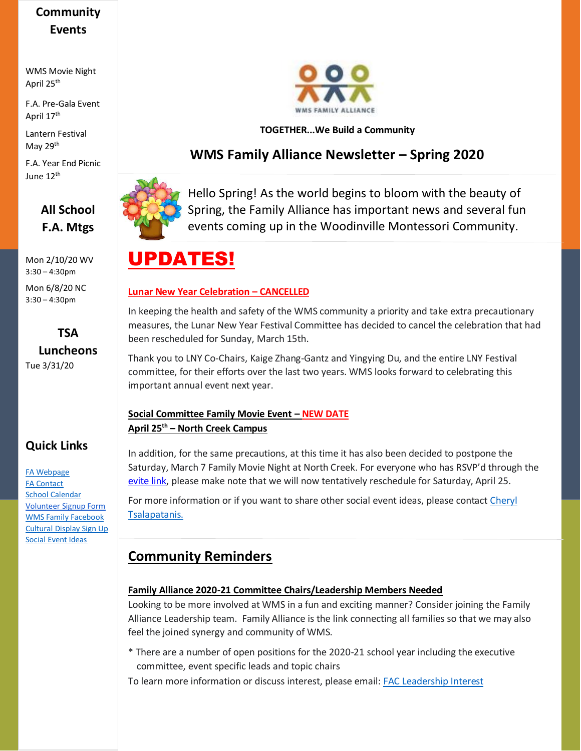### **Community Events**

WMS Movie Night April 25th

F.A. Pre-Gala Event April 17th

Lantern Festival May 29<sup>th</sup>

F.A. Year End Picnic June 12th

### **All School F.A. Mtgs**

Mon 2/10/20 WV 3:30 – 4:30pm

Mon 6/8/20 NC 3:30 – 4:30pm

# **TSA Luncheons**

Tue 3/31/20

### **Quick Links**

[FA Webpage](https://www.woodinvillemontessori.org/wms-families/fa-committees/) [FA Contact](mailto:fa@woodinvillemontessori.org?subject=FAC%20Contact) [School Calendar](https://www.woodinvillemontessori.org/calendar/) [Volunteer Signup Form](https://forms.gle/FaUat2abBxh9difw7) [WMS Family Facebook](https://www.facebook.com/groups/130215807626550/) [Cultural Display Sign Up](https://www.signupgenius.com/go/4090545aca72daaff2-wmscultural) [Social Event Ideas](mailto:fa@woodinvillemontessori.org;%20cheryltsalapatanis@yahoo.com?subject=Social%20Ideas)



#### **TOGETHER...We Build a Community**

### **WMS Family Alliance Newsletter – Spring 2020**



Hello Spring! As the world begins to bloom with the beauty of Spring, the Family Alliance has important news and several fun events coming up in the Woodinville Montessori Community.

# UPDATES!

#### **Lunar New Year Celebration – CANCELLED**

In keeping the health and safety of the WMS community a priority and take extra precautionary measures, the Lunar New Year Festival Committee has decided to cancel the celebration that had been rescheduled for Sunday, March 15th.

Thank you to LNY Co-Chairs, Kaige Zhang-Gantz and Yingying Du, and the entire LNY Festival committee, for their efforts over the last two years. WMS looks forward to celebrating this important annual event next year.

#### **Social Committee Family Movie Event – NEW DATE April 25th – North Creek Campus**

In addition, for the same precautions, at this time it has also been decided to postpone the Saturday, March 7 Family Movie Night at North Creek. For everyone who has RSVP'd through the [evite link,](https://www.evite.com/event/03A1IX5T2MW26U7U4EPKJQ3MZFPR6U/activity?utm_campaign=send_sharable_link&utm_medium=sharable_invite&utm_source=evitelink) please make note that we will now tentatively reschedule for Saturday, April 25.

For more information or if you want to share other social event ideas, please contact Cheryl [Tsalapatanis.](mailto:fa@woodinvillemontessori.org;cheryltsalapatanis@yahoo.com?subject=FAC%20Contact)

### **Community Reminders**

#### **Family Alliance 2020-21 Committee Chairs/Leadership Members Needed**

Looking to be more involved at WMS in a fun and exciting manner? Consider joining the Family Alliance Leadership team. Family Alliance is the link connecting all families so that we may also feel the joined synergy and community of WMS.

\* There are a number of open positions for the 2020-21 school year including the executive committee, event specific leads and topic chairs

To learn more information or discuss interest, please email[: FAC Leadership Interest](mailto:FAC%20executive%20committee?subject=2020-2021%20FAC%20Leadership%20Info)